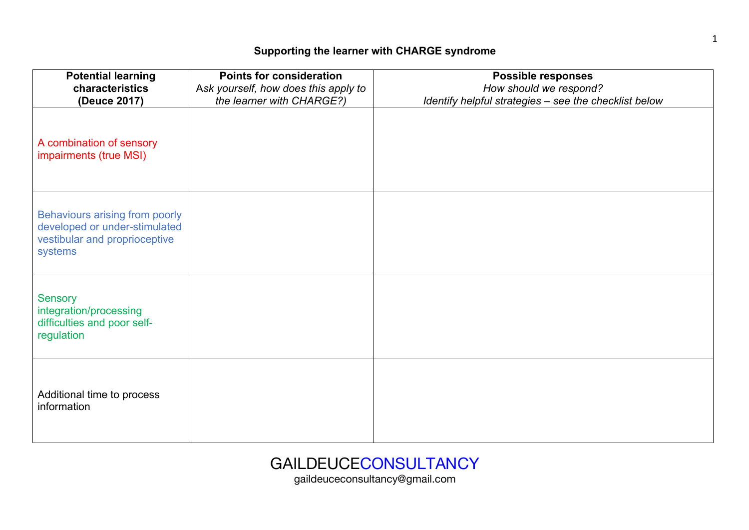## **Supporting the learner with CHARGE syndrome**

| <b>Potential learning</b><br>characteristics<br>(Deuce 2017)                                                | <b>Points for consideration</b><br>Ask yourself, how does this apply to<br>the learner with CHARGE?) | <b>Possible responses</b><br>How should we respond?<br>Identify helpful strategies - see the checklist below |
|-------------------------------------------------------------------------------------------------------------|------------------------------------------------------------------------------------------------------|--------------------------------------------------------------------------------------------------------------|
| A combination of sensory<br>impairments (true MSI)                                                          |                                                                                                      |                                                                                                              |
| Behaviours arising from poorly<br>developed or under-stimulated<br>vestibular and proprioceptive<br>systems |                                                                                                      |                                                                                                              |
| <b>Sensory</b><br>integration/processing<br>difficulties and poor self-<br>regulation                       |                                                                                                      |                                                                                                              |
| Additional time to process<br>information                                                                   |                                                                                                      |                                                                                                              |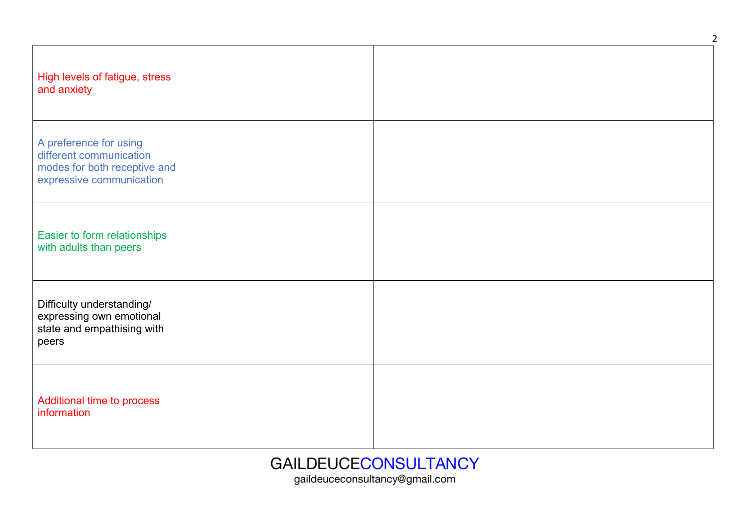| High levels of fatigue, stress<br>and anxiety                                                                 |  |
|---------------------------------------------------------------------------------------------------------------|--|
| A preference for using<br>different communication<br>modes for both receptive and<br>expressive communication |  |
| Easier to form relationships<br>with adults than peers                                                        |  |
| Difficulty understanding/<br>expressing own emotional<br>state and empathising with<br>peers                  |  |
| Additional time to process<br>information                                                                     |  |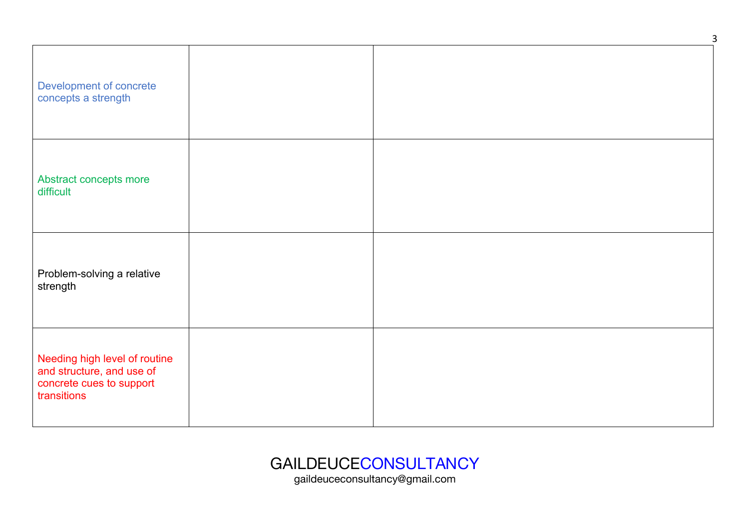| Development of concrete<br>concepts a strength                                                        |  |  |
|-------------------------------------------------------------------------------------------------------|--|--|
| Abstract concepts more<br>difficult                                                                   |  |  |
| Problem-solving a relative<br>strength                                                                |  |  |
| Needing high level of routine<br>and structure, and use of<br>concrete cues to support<br>transitions |  |  |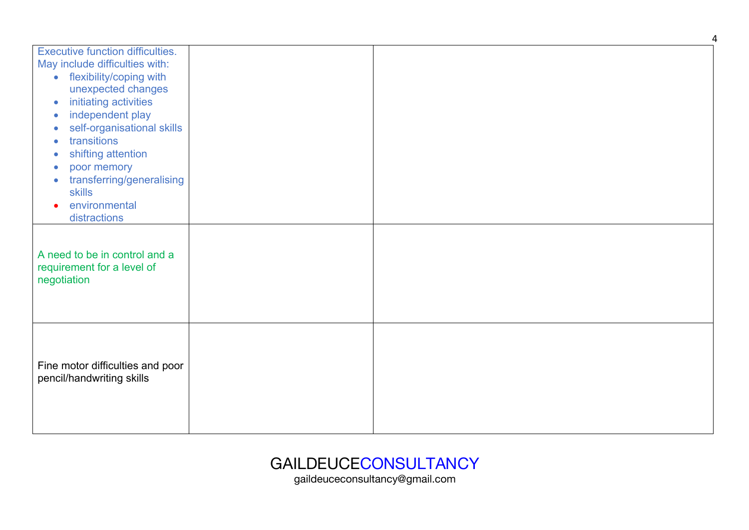| <b>Executive function difficulties.</b><br>May include difficulties with:<br>flexibility/coping with<br>$\bullet$<br>unexpected changes<br>initiating activities<br>$\bullet$<br>independent play<br>$\bullet$<br>self-organisational skills<br>۰<br>transitions<br>$\bullet$<br>shifting attention<br>poor memory<br>о<br>transferring/generalising<br>$\blacksquare$<br><b>skills</b><br>environmental<br>distractions |  |  |
|--------------------------------------------------------------------------------------------------------------------------------------------------------------------------------------------------------------------------------------------------------------------------------------------------------------------------------------------------------------------------------------------------------------------------|--|--|
| A need to be in control and a<br>requirement for a level of<br>negotiation                                                                                                                                                                                                                                                                                                                                               |  |  |
| Fine motor difficulties and poor<br>pencil/handwriting skills                                                                                                                                                                                                                                                                                                                                                            |  |  |

gaildeuceconsultancy@gmail.com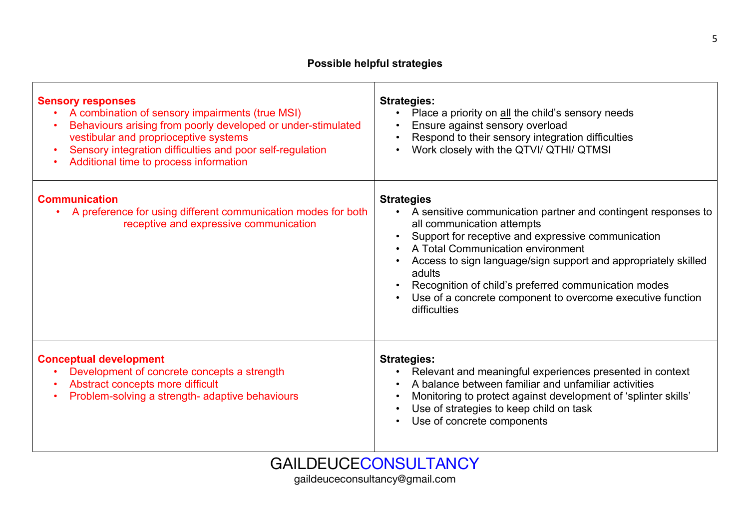| <b>Sensory responses</b><br>A combination of sensory impairments (true MSI)<br>Behaviours arising from poorly developed or under-stimulated<br>vestibular and proprioceptive systems<br>Sensory integration difficulties and poor self-regulation<br>$\bullet$<br>Additional time to process information | <b>Strategies:</b><br>Place a priority on all the child's sensory needs<br>Ensure against sensory overload<br>Respond to their sensory integration difficulties<br>Work closely with the QTVI/ QTHI/ QTMSI                                                                                                                                                                                                                                 |
|----------------------------------------------------------------------------------------------------------------------------------------------------------------------------------------------------------------------------------------------------------------------------------------------------------|--------------------------------------------------------------------------------------------------------------------------------------------------------------------------------------------------------------------------------------------------------------------------------------------------------------------------------------------------------------------------------------------------------------------------------------------|
| <b>Communication</b><br>A preference for using different communication modes for both<br>receptive and expressive communication                                                                                                                                                                          | <b>Strategies</b><br>A sensitive communication partner and contingent responses to<br>$\bullet$<br>all communication attempts<br>Support for receptive and expressive communication<br>A Total Communication environment<br>Access to sign language/sign support and appropriately skilled<br>adults<br>Recognition of child's preferred communication modes<br>Use of a concrete component to overcome executive function<br>difficulties |
| <b>Conceptual development</b><br>Development of concrete concepts a strength<br>Abstract concepts more difficult<br>$\bullet$<br>Problem-solving a strength- adaptive behaviours                                                                                                                         | <b>Strategies:</b><br>Relevant and meaningful experiences presented in context<br>A balance between familiar and unfamiliar activities<br>Monitoring to protect against development of 'splinter skills'<br>Use of strategies to keep child on task<br>Use of concrete components                                                                                                                                                          |

## GAILDEUCECONSULTANCY

gaildeuceconsultancy@gmail.com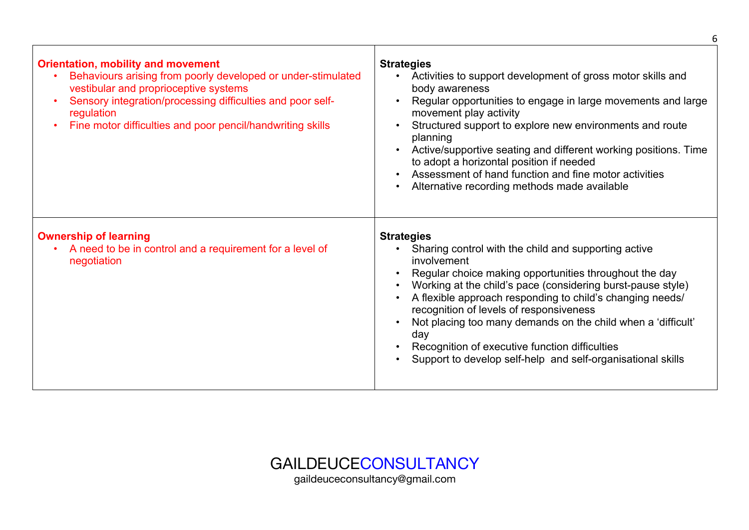| <b>Orientation, mobility and movement</b><br>Behaviours arising from poorly developed or under-stimulated<br>vestibular and proprioceptive systems<br>Sensory integration/processing difficulties and poor self-<br>regulation<br>Fine motor difficulties and poor pencil/handwriting skills | <b>Strategies</b><br>Activities to support development of gross motor skills and<br>$\bullet$<br>body awareness<br>Regular opportunities to engage in large movements and large<br>movement play activity<br>Structured support to explore new environments and route<br>planning<br>Active/supportive seating and different working positions. Time<br>to adopt a horizontal position if needed<br>Assessment of hand function and fine motor activities<br>Alternative recording methods made available         |
|----------------------------------------------------------------------------------------------------------------------------------------------------------------------------------------------------------------------------------------------------------------------------------------------|-------------------------------------------------------------------------------------------------------------------------------------------------------------------------------------------------------------------------------------------------------------------------------------------------------------------------------------------------------------------------------------------------------------------------------------------------------------------------------------------------------------------|
| <b>Ownership of learning</b><br>A need to be in control and a requirement for a level of<br>negotiation                                                                                                                                                                                      | <b>Strategies</b><br>Sharing control with the child and supporting active<br>involvement<br>Regular choice making opportunities throughout the day<br>Working at the child's pace (considering burst-pause style)<br>A flexible approach responding to child's changing needs/<br>recognition of levels of responsiveness<br>Not placing too many demands on the child when a 'difficult'<br>day<br>Recognition of executive function difficulties<br>Support to develop self-help and self-organisational skills |

GAILDEUCECONSULTANCY gaildeuceconsultancy@gmail.com